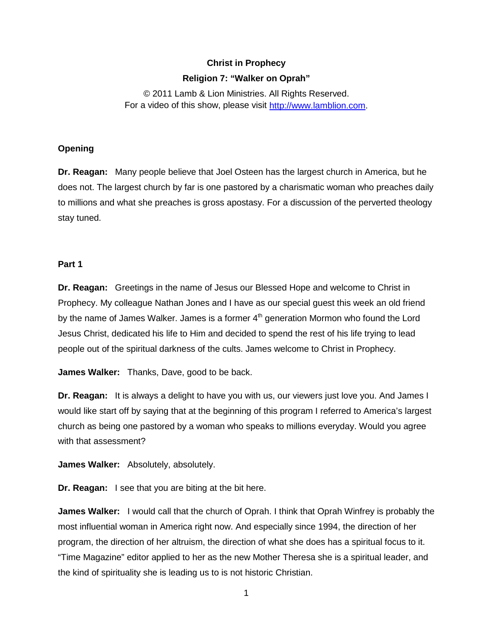## **Christ in Prophecy**

### **Religion 7: "Walker on Oprah"**

© 2011 Lamb & Lion Ministries. All Rights Reserved. For a video of this show, please visit [http://www.lamblion.com.](http://www.lamblion.com/)

## **Opening**

**Dr. Reagan:** Many people believe that Joel Osteen has the largest church in America, but he does not. The largest church by far is one pastored by a charismatic woman who preaches daily to millions and what she preaches is gross apostasy. For a discussion of the perverted theology stay tuned.

### **Part 1**

**Dr. Reagan:** Greetings in the name of Jesus our Blessed Hope and welcome to Christ in Prophecy. My colleague Nathan Jones and I have as our special guest this week an old friend by the name of James Walker. James is a former  $4<sup>th</sup>$  generation Mormon who found the Lord Jesus Christ, dedicated his life to Him and decided to spend the rest of his life trying to lead people out of the spiritual darkness of the cults. James welcome to Christ in Prophecy.

**James Walker:** Thanks, Dave, good to be back.

**Dr. Reagan:** It is always a delight to have you with us, our viewers just love you. And James I would like start off by saying that at the beginning of this program I referred to America's largest church as being one pastored by a woman who speaks to millions everyday. Would you agree with that assessment?

**James Walker:** Absolutely, absolutely.

**Dr. Reagan:** I see that you are biting at the bit here.

**James Walker:** I would call that the church of Oprah. I think that Oprah Winfrey is probably the most influential woman in America right now. And especially since 1994, the direction of her program, the direction of her altruism, the direction of what she does has a spiritual focus to it. "Time Magazine" editor applied to her as the new Mother Theresa she is a spiritual leader, and the kind of spirituality she is leading us to is not historic Christian.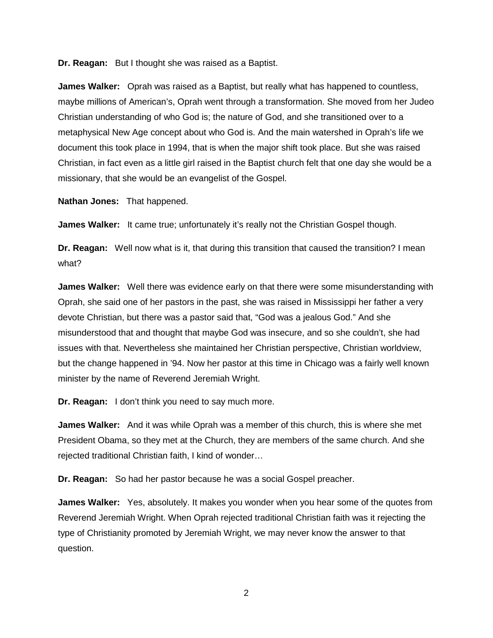**Dr. Reagan:** But I thought she was raised as a Baptist.

**James Walker:** Oprah was raised as a Baptist, but really what has happened to countless, maybe millions of American's, Oprah went through a transformation. She moved from her Judeo Christian understanding of who God is; the nature of God, and she transitioned over to a metaphysical New Age concept about who God is. And the main watershed in Oprah's life we document this took place in 1994, that is when the major shift took place. But she was raised Christian, in fact even as a little girl raised in the Baptist church felt that one day she would be a missionary, that she would be an evangelist of the Gospel.

**Nathan Jones:** That happened.

**James Walker:** It came true; unfortunately it's really not the Christian Gospel though.

**Dr. Reagan:** Well now what is it, that during this transition that caused the transition? I mean what?

**James Walker:** Well there was evidence early on that there were some misunderstanding with Oprah, she said one of her pastors in the past, she was raised in Mississippi her father a very devote Christian, but there was a pastor said that, "God was a jealous God." And she misunderstood that and thought that maybe God was insecure, and so she couldn't, she had issues with that. Nevertheless she maintained her Christian perspective, Christian worldview, but the change happened in '94. Now her pastor at this time in Chicago was a fairly well known minister by the name of Reverend Jeremiah Wright.

**Dr. Reagan:** I don't think you need to say much more.

**James Walker:** And it was while Oprah was a member of this church, this is where she met President Obama, so they met at the Church, they are members of the same church. And she rejected traditional Christian faith, I kind of wonder…

**Dr. Reagan:** So had her pastor because he was a social Gospel preacher.

**James Walker:** Yes, absolutely. It makes you wonder when you hear some of the quotes from Reverend Jeremiah Wright. When Oprah rejected traditional Christian faith was it rejecting the type of Christianity promoted by Jeremiah Wright, we may never know the answer to that question.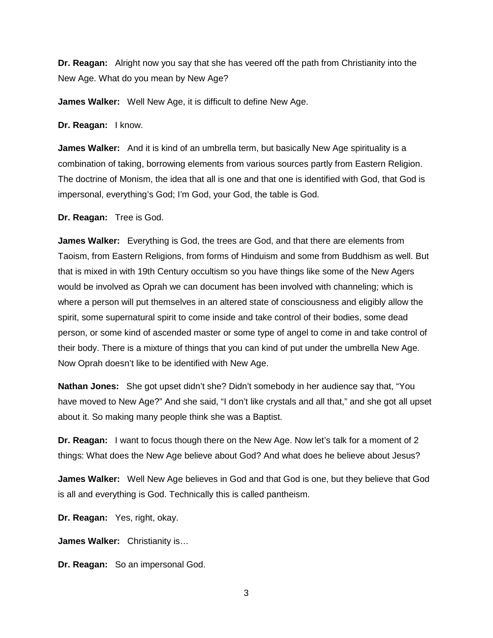**Dr. Reagan:** Alright now you say that she has veered off the path from Christianity into the New Age. What do you mean by New Age?

**James Walker:** Well New Age, it is difficult to define New Age.

**Dr. Reagan:** I know.

**James Walker:** And it is kind of an umbrella term, but basically New Age spirituality is a combination of taking, borrowing elements from various sources partly from Eastern Religion. The doctrine of Monism, the idea that all is one and that one is identified with God, that God is impersonal, everything's God; I'm God, your God, the table is God.

**Dr. Reagan:** Tree is God.

**James Walker:** Everything is God, the trees are God, and that there are elements from Taoism, from Eastern Religions, from forms of Hinduism and some from Buddhism as well. But that is mixed in with 19th Century occultism so you have things like some of the New Agers would be involved as Oprah we can document has been involved with channeling; which is where a person will put themselves in an altered state of consciousness and eligibly allow the spirit, some supernatural spirit to come inside and take control of their bodies, some dead person, or some kind of ascended master or some type of angel to come in and take control of their body. There is a mixture of things that you can kind of put under the umbrella New Age. Now Oprah doesn't like to be identified with New Age.

**Nathan Jones:** She got upset didn't she? Didn't somebody in her audience say that, "You have moved to New Age?" And she said, "I don't like crystals and all that," and she got all upset about it. So making many people think she was a Baptist.

**Dr. Reagan:** I want to focus though there on the New Age. Now let's talk for a moment of 2 things: What does the New Age believe about God? And what does he believe about Jesus?

**James Walker:** Well New Age believes in God and that God is one, but they believe that God is all and everything is God. Technically this is called pantheism.

**Dr. Reagan:** Yes, right, okay.

**James Walker:** Christianity is…

**Dr. Reagan:** So an impersonal God.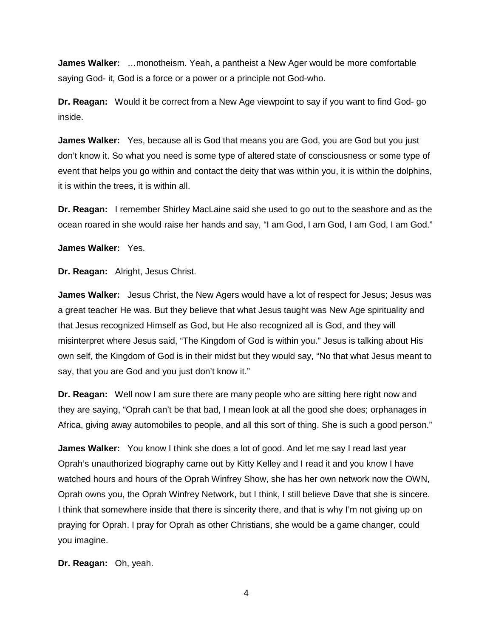**James Walker:** …monotheism. Yeah, a pantheist a New Ager would be more comfortable saying God- it, God is a force or a power or a principle not God-who.

**Dr. Reagan:** Would it be correct from a New Age viewpoint to say if you want to find God- go inside.

**James Walker:** Yes, because all is God that means you are God, you are God but you just don't know it. So what you need is some type of altered state of consciousness or some type of event that helps you go within and contact the deity that was within you, it is within the dolphins, it is within the trees, it is within all.

**Dr. Reagan:** I remember Shirley MacLaine said she used to go out to the seashore and as the ocean roared in she would raise her hands and say, "I am God, I am God, I am God, I am God."

**James Walker:** Yes.

**Dr. Reagan:** Alright, Jesus Christ.

**James Walker:** Jesus Christ, the New Agers would have a lot of respect for Jesus; Jesus was a great teacher He was. But they believe that what Jesus taught was New Age spirituality and that Jesus recognized Himself as God, but He also recognized all is God, and they will misinterpret where Jesus said, "The Kingdom of God is within you." Jesus is talking about His own self, the Kingdom of God is in their midst but they would say, "No that what Jesus meant to say, that you are God and you just don't know it."

**Dr. Reagan:** Well now I am sure there are many people who are sitting here right now and they are saying, "Oprah can't be that bad, I mean look at all the good she does; orphanages in Africa, giving away automobiles to people, and all this sort of thing. She is such a good person."

**James Walker:** You know I think she does a lot of good. And let me say I read last year Oprah's unauthorized biography came out by Kitty Kelley and I read it and you know I have watched hours and hours of the Oprah Winfrey Show, she has her own network now the OWN, Oprah owns you, the Oprah Winfrey Network, but I think, I still believe Dave that she is sincere. I think that somewhere inside that there is sincerity there, and that is why I'm not giving up on praying for Oprah. I pray for Oprah as other Christians, she would be a game changer, could you imagine.

**Dr. Reagan:** Oh, yeah.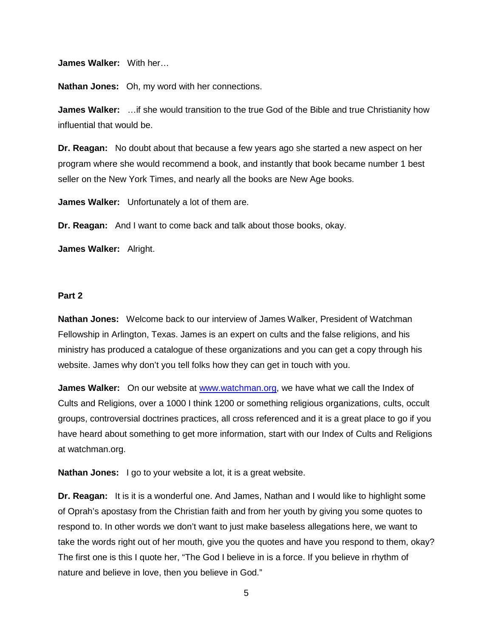**James Walker:** With her…

**Nathan Jones:** Oh, my word with her connections.

**James Walker:** …if she would transition to the true God of the Bible and true Christianity how influential that would be.

**Dr. Reagan:** No doubt about that because a few years ago she started a new aspect on her program where she would recommend a book, and instantly that book became number 1 best seller on the New York Times, and nearly all the books are New Age books.

**James Walker:** Unfortunately a lot of them are.

**Dr. Reagan:** And I want to come back and talk about those books, okay.

**James Walker:** Alright.

## **Part 2**

**Nathan Jones:** Welcome back to our interview of James Walker, President of Watchman Fellowship in Arlington, Texas. James is an expert on cults and the false religions, and his ministry has produced a catalogue of these organizations and you can get a copy through his website. James why don't you tell folks how they can get in touch with you.

**James Walker:** On our website at [www.watchman.org,](http://www.watchman.org/) we have what we call the Index of Cults and Religions, over a 1000 I think 1200 or something religious organizations, cults, occult groups, controversial doctrines practices, all cross referenced and it is a great place to go if you have heard about something to get more information, start with our Index of Cults and Religions at watchman.org.

**Nathan Jones:** I go to your website a lot, it is a great website.

**Dr. Reagan:** It is it is a wonderful one. And James, Nathan and I would like to highlight some of Oprah's apostasy from the Christian faith and from her youth by giving you some quotes to respond to. In other words we don't want to just make baseless allegations here, we want to take the words right out of her mouth, give you the quotes and have you respond to them, okay? The first one is this I quote her, "The God I believe in is a force. If you believe in rhythm of nature and believe in love, then you believe in God."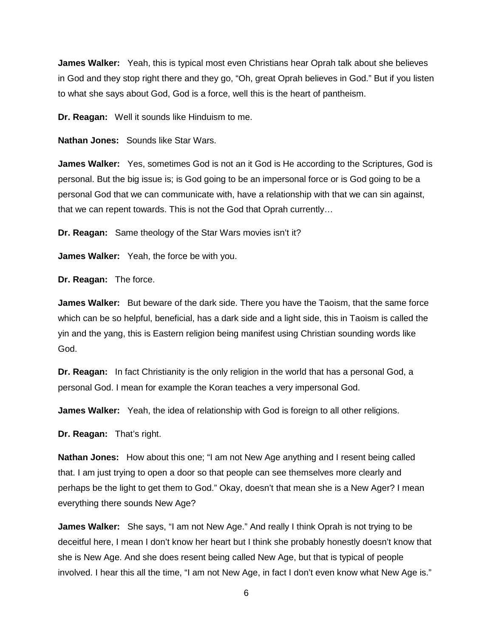**James Walker:** Yeah, this is typical most even Christians hear Oprah talk about she believes in God and they stop right there and they go, "Oh, great Oprah believes in God." But if you listen to what she says about God, God is a force, well this is the heart of pantheism.

**Dr. Reagan:** Well it sounds like Hinduism to me.

**Nathan Jones:** Sounds like Star Wars.

**James Walker:** Yes, sometimes God is not an it God is He according to the Scriptures, God is personal. But the big issue is; is God going to be an impersonal force or is God going to be a personal God that we can communicate with, have a relationship with that we can sin against, that we can repent towards. This is not the God that Oprah currently…

**Dr. Reagan:** Same theology of the Star Wars movies isn't it?

**James Walker:** Yeah, the force be with you.

**Dr. Reagan:** The force.

**James Walker:** But beware of the dark side. There you have the Taoism, that the same force which can be so helpful, beneficial, has a dark side and a light side, this in Taoism is called the yin and the yang, this is Eastern religion being manifest using Christian sounding words like God.

**Dr. Reagan:** In fact Christianity is the only religion in the world that has a personal God, a personal God. I mean for example the Koran teaches a very impersonal God.

**James Walker:** Yeah, the idea of relationship with God is foreign to all other religions.

**Dr. Reagan:** That's right.

**Nathan Jones:** How about this one; "I am not New Age anything and I resent being called that. I am just trying to open a door so that people can see themselves more clearly and perhaps be the light to get them to God." Okay, doesn't that mean she is a New Ager? I mean everything there sounds New Age?

**James Walker:** She says, "I am not New Age." And really I think Oprah is not trying to be deceitful here, I mean I don't know her heart but I think she probably honestly doesn't know that she is New Age. And she does resent being called New Age, but that is typical of people involved. I hear this all the time, "I am not New Age, in fact I don't even know what New Age is."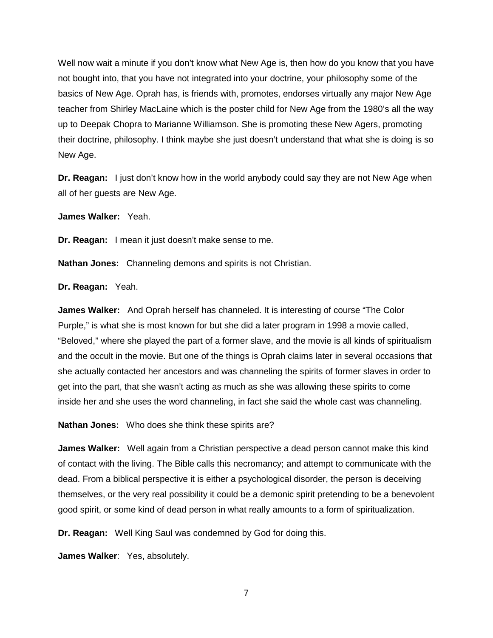Well now wait a minute if you don't know what New Age is, then how do you know that you have not bought into, that you have not integrated into your doctrine, your philosophy some of the basics of New Age. Oprah has, is friends with, promotes, endorses virtually any major New Age teacher from Shirley MacLaine which is the poster child for New Age from the 1980's all the way up to Deepak Chopra to Marianne Williamson. She is promoting these New Agers, promoting their doctrine, philosophy. I think maybe she just doesn't understand that what she is doing is so New Age.

**Dr. Reagan:** I just don't know how in the world anybody could say they are not New Age when all of her guests are New Age.

**James Walker:** Yeah.

**Dr. Reagan:** I mean it just doesn't make sense to me.

**Nathan Jones:** Channeling demons and spirits is not Christian.

**Dr. Reagan:** Yeah.

**James Walker:** And Oprah herself has channeled. It is interesting of course "The Color Purple," is what she is most known for but she did a later program in 1998 a movie called, "Beloved," where she played the part of a former slave, and the movie is all kinds of spiritualism and the occult in the movie. But one of the things is Oprah claims later in several occasions that she actually contacted her ancestors and was channeling the spirits of former slaves in order to get into the part, that she wasn't acting as much as she was allowing these spirits to come inside her and she uses the word channeling, in fact she said the whole cast was channeling.

**Nathan Jones:** Who does she think these spirits are?

**James Walker:** Well again from a Christian perspective a dead person cannot make this kind of contact with the living. The Bible calls this necromancy; and attempt to communicate with the dead. From a biblical perspective it is either a psychological disorder, the person is deceiving themselves, or the very real possibility it could be a demonic spirit pretending to be a benevolent good spirit, or some kind of dead person in what really amounts to a form of spiritualization.

**Dr. Reagan:** Well King Saul was condemned by God for doing this.

**James Walker**: Yes, absolutely.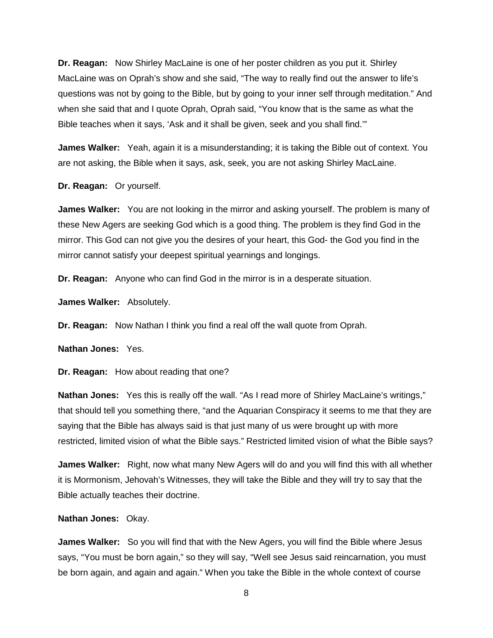**Dr. Reagan:** Now Shirley MacLaine is one of her poster children as you put it. Shirley MacLaine was on Oprah's show and she said, "The way to really find out the answer to life's questions was not by going to the Bible, but by going to your inner self through meditation." And when she said that and I quote Oprah, Oprah said, "You know that is the same as what the Bible teaches when it says, 'Ask and it shall be given, seek and you shall find.'"

**James Walker:** Yeah, again it is a misunderstanding; it is taking the Bible out of context. You are not asking, the Bible when it says, ask, seek, you are not asking Shirley MacLaine.

**Dr. Reagan:** Or yourself.

**James Walker:** You are not looking in the mirror and asking yourself. The problem is many of these New Agers are seeking God which is a good thing. The problem is they find God in the mirror. This God can not give you the desires of your heart, this God- the God you find in the mirror cannot satisfy your deepest spiritual yearnings and longings.

**Dr. Reagan:** Anyone who can find God in the mirror is in a desperate situation.

**James Walker:** Absolutely.

**Dr. Reagan:** Now Nathan I think you find a real off the wall quote from Oprah.

**Nathan Jones:** Yes.

**Dr. Reagan:** How about reading that one?

**Nathan Jones:** Yes this is really off the wall. "As I read more of Shirley MacLaine's writings," that should tell you something there, "and the Aquarian Conspiracy it seems to me that they are saying that the Bible has always said is that just many of us were brought up with more restricted, limited vision of what the Bible says." Restricted limited vision of what the Bible says?

**James Walker:** Right, now what many New Agers will do and you will find this with all whether it is Mormonism, Jehovah's Witnesses, they will take the Bible and they will try to say that the Bible actually teaches their doctrine.

**Nathan Jones:** Okay.

**James Walker:** So you will find that with the New Agers, you will find the Bible where Jesus says, "You must be born again," so they will say, "Well see Jesus said reincarnation, you must be born again, and again and again." When you take the Bible in the whole context of course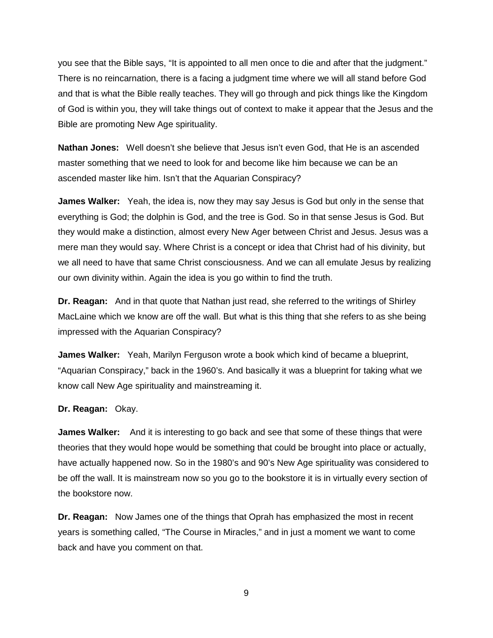you see that the Bible says, "It is appointed to all men once to die and after that the judgment." There is no reincarnation, there is a facing a judgment time where we will all stand before God and that is what the Bible really teaches. They will go through and pick things like the Kingdom of God is within you, they will take things out of context to make it appear that the Jesus and the Bible are promoting New Age spirituality.

**Nathan Jones:** Well doesn't she believe that Jesus isn't even God, that He is an ascended master something that we need to look for and become like him because we can be an ascended master like him. Isn't that the Aquarian Conspiracy?

**James Walker:** Yeah, the idea is, now they may say Jesus is God but only in the sense that everything is God; the dolphin is God, and the tree is God. So in that sense Jesus is God. But they would make a distinction, almost every New Ager between Christ and Jesus. Jesus was a mere man they would say. Where Christ is a concept or idea that Christ had of his divinity, but we all need to have that same Christ consciousness. And we can all emulate Jesus by realizing our own divinity within. Again the idea is you go within to find the truth.

**Dr. Reagan:** And in that quote that Nathan just read, she referred to the writings of Shirley MacLaine which we know are off the wall. But what is this thing that she refers to as she being impressed with the Aquarian Conspiracy?

**James Walker:** Yeah, Marilyn Ferguson wrote a book which kind of became a blueprint, "Aquarian Conspiracy," back in the 1960's. And basically it was a blueprint for taking what we know call New Age spirituality and mainstreaming it.

**Dr. Reagan:** Okay.

**James Walker:** And it is interesting to go back and see that some of these things that were theories that they would hope would be something that could be brought into place or actually, have actually happened now. So in the 1980's and 90's New Age spirituality was considered to be off the wall. It is mainstream now so you go to the bookstore it is in virtually every section of the bookstore now.

**Dr. Reagan:** Now James one of the things that Oprah has emphasized the most in recent years is something called, "The Course in Miracles," and in just a moment we want to come back and have you comment on that.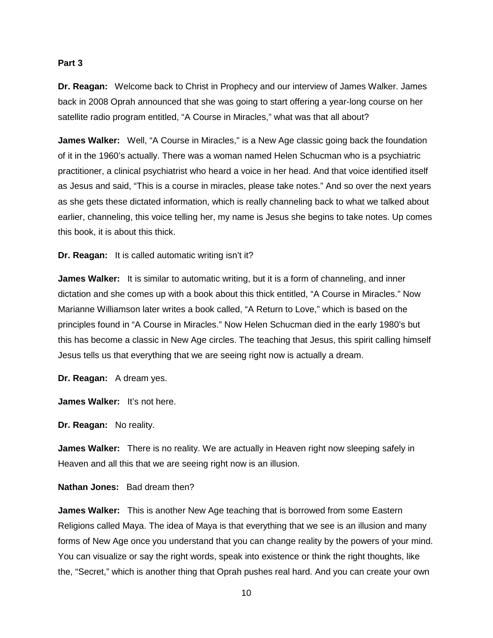## **Part 3**

**Dr. Reagan:** Welcome back to Christ in Prophecy and our interview of James Walker. James back in 2008 Oprah announced that she was going to start offering a year-long course on her satellite radio program entitled, "A Course in Miracles," what was that all about?

**James Walker:** Well, "A Course in Miracles," is a New Age classic going back the foundation of it in the 1960's actually. There was a woman named Helen Schucman who is a psychiatric practitioner, a clinical psychiatrist who heard a voice in her head. And that voice identified itself as Jesus and said, "This is a course in miracles, please take notes." And so over the next years as she gets these dictated information, which is really channeling back to what we talked about earlier, channeling, this voice telling her, my name is Jesus she begins to take notes. Up comes this book, it is about this thick.

**Dr. Reagan:** It is called automatic writing isn't it?

**James Walker:** It is similar to automatic writing, but it is a form of channeling, and inner dictation and she comes up with a book about this thick entitled, "A Course in Miracles." Now Marianne Williamson later writes a book called, "A Return to Love," which is based on the principles found in "A Course in Miracles." Now Helen Schucman died in the early 1980's but this has become a classic in New Age circles. The teaching that Jesus, this spirit calling himself Jesus tells us that everything that we are seeing right now is actually a dream.

**Dr. Reagan:** A dream yes.

**James Walker:** It's not here.

**Dr. Reagan:** No reality.

**James Walker:** There is no reality. We are actually in Heaven right now sleeping safely in Heaven and all this that we are seeing right now is an illusion.

**Nathan Jones:** Bad dream then?

**James Walker:** This is another New Age teaching that is borrowed from some Eastern Religions called Maya. The idea of Maya is that everything that we see is an illusion and many forms of New Age once you understand that you can change reality by the powers of your mind. You can visualize or say the right words, speak into existence or think the right thoughts, like the, "Secret," which is another thing that Oprah pushes real hard. And you can create your own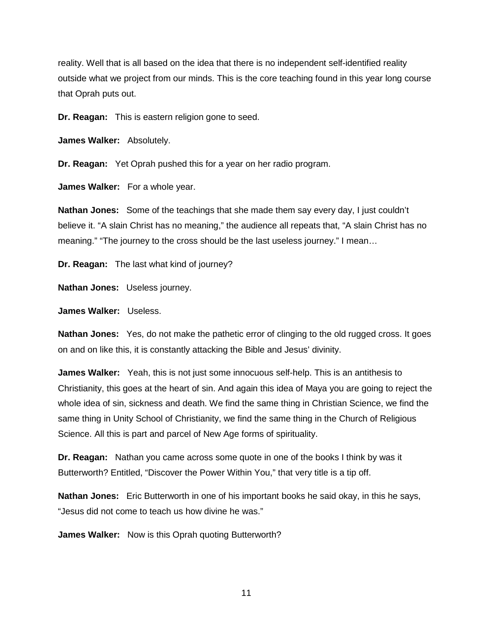reality. Well that is all based on the idea that there is no independent self-identified reality outside what we project from our minds. This is the core teaching found in this year long course that Oprah puts out.

**Dr. Reagan:** This is eastern religion gone to seed.

**James Walker:** Absolutely.

**Dr. Reagan:** Yet Oprah pushed this for a year on her radio program.

**James Walker:** For a whole year.

**Nathan Jones:** Some of the teachings that she made them say every day, I just couldn't believe it. "A slain Christ has no meaning," the audience all repeats that, "A slain Christ has no meaning." "The journey to the cross should be the last useless journey." I mean…

**Dr. Reagan:** The last what kind of journey?

**Nathan Jones:** Useless journey.

**James Walker:** Useless.

**Nathan Jones:** Yes, do not make the pathetic error of clinging to the old rugged cross. It goes on and on like this, it is constantly attacking the Bible and Jesus' divinity.

**James Walker:** Yeah, this is not just some innocuous self-help. This is an antithesis to Christianity, this goes at the heart of sin. And again this idea of Maya you are going to reject the whole idea of sin, sickness and death. We find the same thing in Christian Science, we find the same thing in Unity School of Christianity, we find the same thing in the Church of Religious Science. All this is part and parcel of New Age forms of spirituality.

**Dr. Reagan:** Nathan you came across some quote in one of the books I think by was it Butterworth? Entitled, "Discover the Power Within You," that very title is a tip off.

**Nathan Jones:** Eric Butterworth in one of his important books he said okay, in this he says, "Jesus did not come to teach us how divine he was."

**James Walker:** Now is this Oprah quoting Butterworth?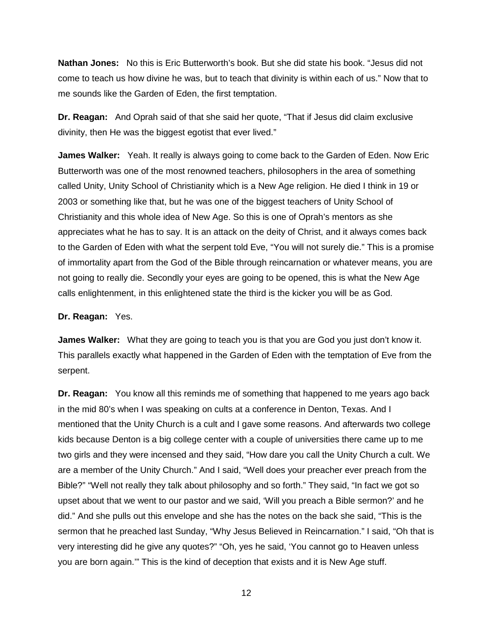**Nathan Jones:** No this is Eric Butterworth's book. But she did state his book. "Jesus did not come to teach us how divine he was, but to teach that divinity is within each of us." Now that to me sounds like the Garden of Eden, the first temptation.

**Dr. Reagan:** And Oprah said of that she said her quote, "That if Jesus did claim exclusive divinity, then He was the biggest egotist that ever lived."

**James Walker:** Yeah. It really is always going to come back to the Garden of Eden. Now Eric Butterworth was one of the most renowned teachers, philosophers in the area of something called Unity, Unity School of Christianity which is a New Age religion. He died I think in 19 or 2003 or something like that, but he was one of the biggest teachers of Unity School of Christianity and this whole idea of New Age. So this is one of Oprah's mentors as she appreciates what he has to say. It is an attack on the deity of Christ, and it always comes back to the Garden of Eden with what the serpent told Eve, "You will not surely die." This is a promise of immortality apart from the God of the Bible through reincarnation or whatever means, you are not going to really die. Secondly your eyes are going to be opened, this is what the New Age calls enlightenment, in this enlightened state the third is the kicker you will be as God.

### **Dr. Reagan:** Yes.

**James Walker:** What they are going to teach you is that you are God you just don't know it. This parallels exactly what happened in the Garden of Eden with the temptation of Eve from the serpent.

**Dr. Reagan:** You know all this reminds me of something that happened to me years ago back in the mid 80's when I was speaking on cults at a conference in Denton, Texas. And I mentioned that the Unity Church is a cult and I gave some reasons. And afterwards two college kids because Denton is a big college center with a couple of universities there came up to me two girls and they were incensed and they said, "How dare you call the Unity Church a cult. We are a member of the Unity Church." And I said, "Well does your preacher ever preach from the Bible?" "Well not really they talk about philosophy and so forth." They said, "In fact we got so upset about that we went to our pastor and we said, 'Will you preach a Bible sermon?' and he did." And she pulls out this envelope and she has the notes on the back she said, "This is the sermon that he preached last Sunday, "Why Jesus Believed in Reincarnation." I said, "Oh that is very interesting did he give any quotes?" "Oh, yes he said, 'You cannot go to Heaven unless you are born again.'" This is the kind of deception that exists and it is New Age stuff.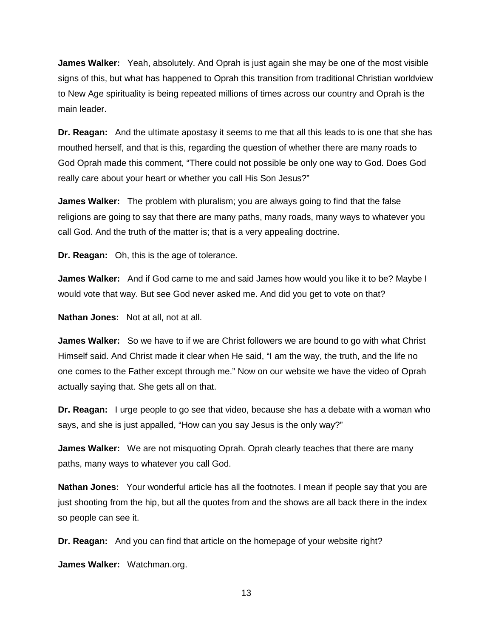**James Walker:** Yeah, absolutely. And Oprah is just again she may be one of the most visible signs of this, but what has happened to Oprah this transition from traditional Christian worldview to New Age spirituality is being repeated millions of times across our country and Oprah is the main leader.

**Dr. Reagan:** And the ultimate apostasy it seems to me that all this leads to is one that she has mouthed herself, and that is this, regarding the question of whether there are many roads to God Oprah made this comment, "There could not possible be only one way to God. Does God really care about your heart or whether you call His Son Jesus?"

**James Walker:** The problem with pluralism; you are always going to find that the false religions are going to say that there are many paths, many roads, many ways to whatever you call God. And the truth of the matter is; that is a very appealing doctrine.

**Dr. Reagan:** Oh, this is the age of tolerance.

**James Walker:** And if God came to me and said James how would you like it to be? Maybe I would vote that way. But see God never asked me. And did you get to vote on that?

**Nathan Jones:** Not at all, not at all.

**James Walker:** So we have to if we are Christ followers we are bound to go with what Christ Himself said. And Christ made it clear when He said, "I am the way, the truth, and the life no one comes to the Father except through me." Now on our website we have the video of Oprah actually saying that. She gets all on that.

**Dr. Reagan:** I urge people to go see that video, because she has a debate with a woman who says, and she is just appalled, "How can you say Jesus is the only way?"

**James Walker:** We are not misquoting Oprah. Oprah clearly teaches that there are many paths, many ways to whatever you call God.

**Nathan Jones:** Your wonderful article has all the footnotes. I mean if people say that you are just shooting from the hip, but all the quotes from and the shows are all back there in the index so people can see it.

**Dr. Reagan:** And you can find that article on the homepage of your website right?

**James Walker:** Watchman.org.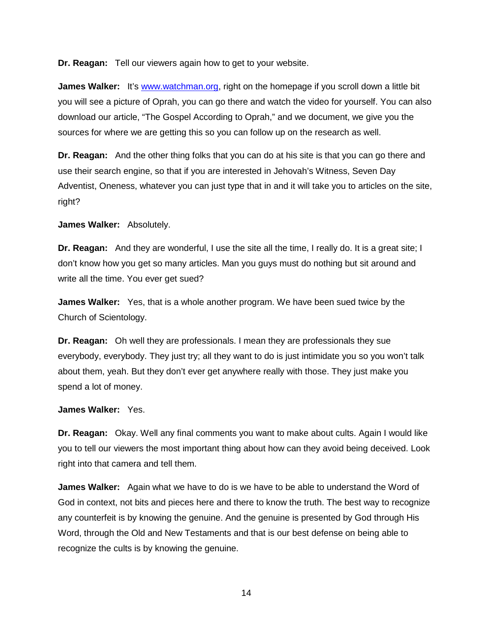**Dr. Reagan:** Tell our viewers again how to get to your website.

**James Walker:** It's [www.watchman.org,](http://www.watchman.org/) right on the homepage if you scroll down a little bit you will see a picture of Oprah, you can go there and watch the video for yourself. You can also download our article, "The Gospel According to Oprah," and we document, we give you the sources for where we are getting this so you can follow up on the research as well.

**Dr. Reagan:** And the other thing folks that you can do at his site is that you can go there and use their search engine, so that if you are interested in Jehovah's Witness, Seven Day Adventist, Oneness, whatever you can just type that in and it will take you to articles on the site, right?

**James Walker:** Absolutely.

**Dr. Reagan:** And they are wonderful, I use the site all the time, I really do. It is a great site; I don't know how you get so many articles. Man you guys must do nothing but sit around and write all the time. You ever get sued?

**James Walker:** Yes, that is a whole another program. We have been sued twice by the Church of Scientology.

**Dr. Reagan:** Oh well they are professionals. I mean they are professionals they sue everybody, everybody. They just try; all they want to do is just intimidate you so you won't talk about them, yeah. But they don't ever get anywhere really with those. They just make you spend a lot of money.

### **James Walker:** Yes.

**Dr. Reagan:** Okay. Well any final comments you want to make about cults. Again I would like you to tell our viewers the most important thing about how can they avoid being deceived. Look right into that camera and tell them.

**James Walker:** Again what we have to do is we have to be able to understand the Word of God in context, not bits and pieces here and there to know the truth. The best way to recognize any counterfeit is by knowing the genuine. And the genuine is presented by God through His Word, through the Old and New Testaments and that is our best defense on being able to recognize the cults is by knowing the genuine.